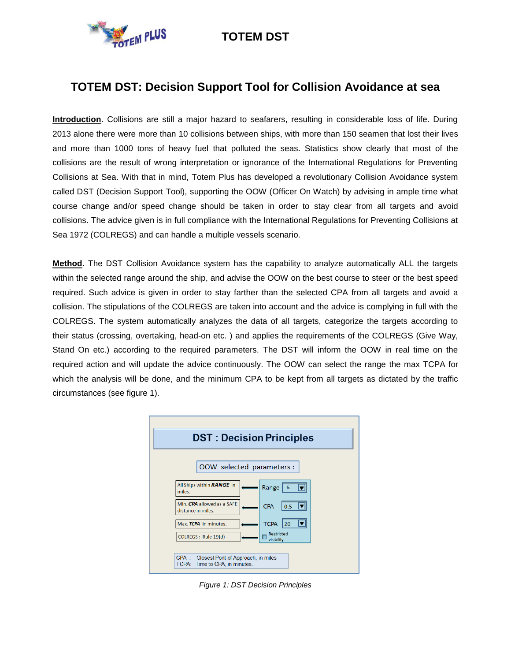## **TOTEM DST: Decision Support Tool for Collision Avoidance at sea**

**Introduction**. Collisions are still a major hazard to seafarers, resulting in considerable loss of life. During 2013 alone there were more than 10 collisions between ships, with more than 150 seamen that lost their lives and more than 1000 tons of heavy fuel that polluted the seas. Statistics show clearly that most of the collisions are the result of wrong interpretation or ignorance of the International Regulations for Preventing Collisions at Sea. With that in mind, Totem Plus has developed a revolutionary Collision Avoidance system called DST (Decision Support Tool), supporting the OOW (Officer On Watch) by advising in ample time what course change and/or speed change should be taken in order to stay clear from all targets and avoid collisions. The advice given is in full compliance with the International Regulations for Preventing Collisions at Sea 1972 (COLREGS) and can handle a multiple vessels scenario.

**Method**. The DST Collision Avoidance system has the capability to analyze automatically ALL the targets within the selected range around the ship, and advise the OOW on the best course to steer or the best speed required. Such advice is given in order to stay farther than the selected CPA from all targets and avoid a collision. The stipulations of the COLREGS are taken into account and the advice is complying in full with the COLREGS. The system automatically analyzes the data of all targets, categorize the targets according to their status (crossing, overtaking, head-on etc. ) and applies the requirements of the COLREGS (Give Way, Stand On etc.) according to the required parameters. The DST will inform the OOW in real time on the required action and will update the advice continuously. The OOW can select the range the max TCPA for which the analysis will be done, and the minimum CPA to be kept from all targets as dictated by the traffic circumstances (see figure 1).



*Figure 1: DST Decision Principles*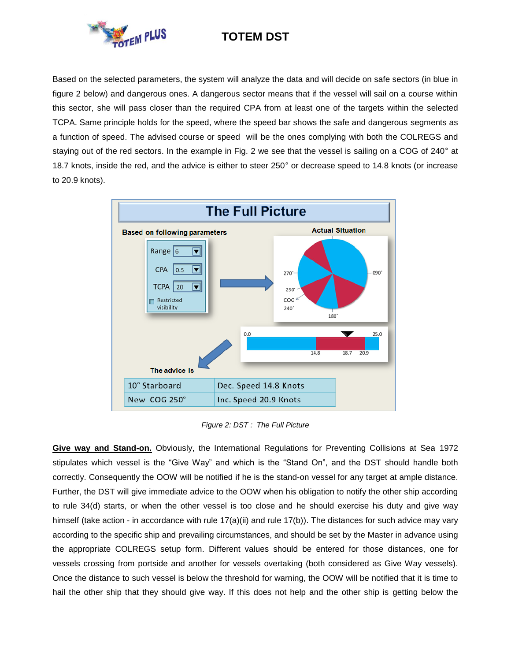

Based on the selected parameters, the system will analyze the data and will decide on safe sectors (in blue in figure 2 below) and dangerous ones. A dangerous sector means that if the vessel will sail on a course within this sector, she will pass closer than the required CPA from at least one of the targets within the selected TCPA. Same principle holds for the speed, where the speed bar shows the safe and dangerous segments as a function of speed. The advised course or speed will be the ones complying with both the COLREGS and staying out of the red sectors. In the example in Fig. 2 we see that the vessel is sailing on a COG of 240° at 18.7 knots, inside the red, and the advice is either to steer 250° or decrease speed to 14.8 knots (or increase to 20.9 knots).



*Figure 2: DST : The Full Picture*

**Give way and Stand-on.** Obviously, the International Regulations for Preventing Collisions at Sea 1972 stipulates which vessel is the "Give Way" and which is the "Stand On", and the DST should handle both correctly. Consequently the OOW will be notified if he is the stand-on vessel for any target at ample distance. Further, the DST will give immediate advice to the OOW when his obligation to notify the other ship according to rule 34(d) starts, or when the other vessel is too close and he should exercise his duty and give way himself (take action - in accordance with rule 17(a)(ii) and rule 17(b)). The distances for such advice may vary according to the specific ship and prevailing circumstances, and should be set by the Master in advance using the appropriate COLREGS setup form. Different values should be entered for those distances, one for vessels crossing from portside and another for vessels overtaking (both considered as Give Way vessels). Once the distance to such vessel is below the threshold for warning, the OOW will be notified that it is time to hail the other ship that they should give way. If this does not help and the other ship is getting below the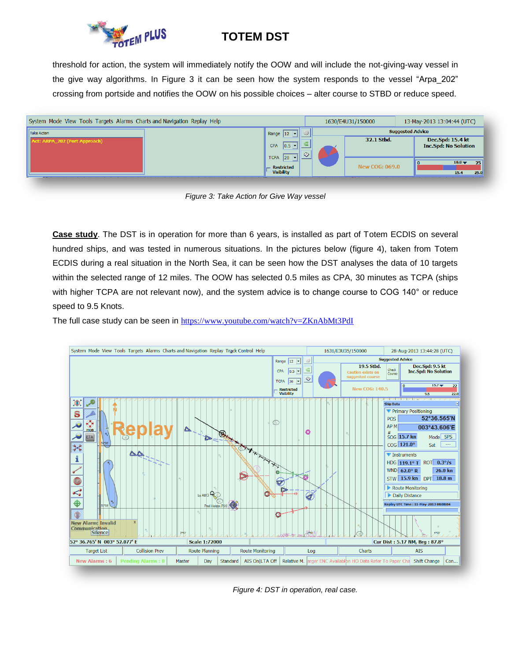

threshold for action, the system will immediately notify the OOW and will include the not-giving-way vessel in the give way algorithms. In Figure 3 it can be seen how the system responds to the vessel "Arpa\_202" crossing from portside and notifies the OOW on his possible choices – alter course to STBD or reduce speed.



*Figure 3: Take Action for Give Way vessel*

**Case study**. The DST is in operation for more than 6 years, is installed as part of Totem ECDIS on several hundred ships, and was tested in numerous situations. In the pictures below (figure 4), taken from Totem ECDIS during a real situation in the North Sea, it can be seen how the DST analyses the data of 10 targets within the selected range of 12 miles. The OOW has selected 0.5 miles as CPA, 30 minutes as TCPA (ships with higher TCPA are not relevant now), and the system advice is to change course to COG 140° or reduce speed to 9.5 Knots.

The full case study can be seen in <https://www.youtube.com/watch?v=ZKnAbMt3PdI>



*Figure 4: DST in operation, real case.*